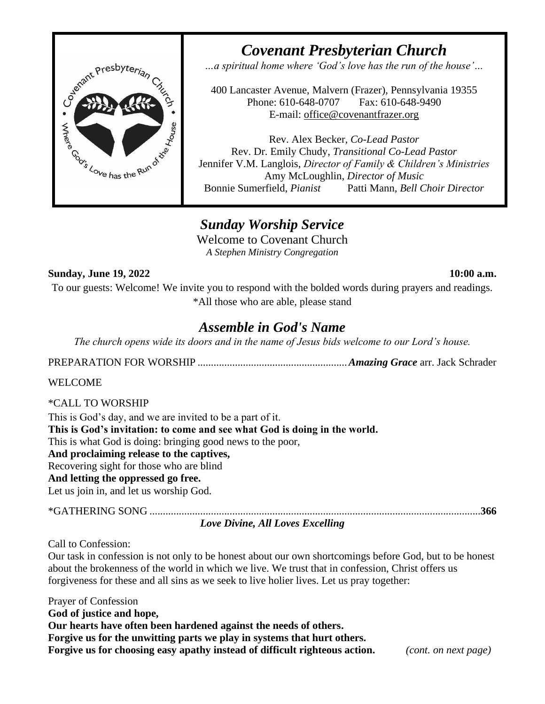

*Covenant Presbyterian Church …a spiritual home where 'God's love has the run of the house'…*

400 Lancaster Avenue, Malvern (Frazer), Pennsylvania 19355 Phone: 610-648-0707 Fax: 610-648-9490 E-mail: [office@covenantfrazer.org](mailto:office@covenantfrazer.org)

Rev. Alex Becker*, Co-Lead Pastor* Rev. Dr. Emily Chudy, *Transitional Co-Lead Pastor* Jennifer V.M. Langlois, *Director of Family & Children's Ministries* Amy McLoughlin, *Director of Music* Bonnie Sumerfield, *Pianist* Patti Mann*, Bell Choir Director*

# *Sunday Worship Service*

Welcome to Covenant Church *A Stephen Ministry Congregation*

## **Sunday, June 19, 2022 10:00 a.m.**

To our guests: Welcome! We invite you to respond with the bolded words during prayers and readings. \*All those who are able, please stand

# *Assemble in God's Name*

*The church opens wide its doors and in the name of Jesus bids welcome to our Lord's house.*

PREPARATION FOR WORSHIP ........................................................*Amazing Grace* arr. Jack Schrader

## WELCOME

\*CALL TO WORSHIP

This is God's day, and we are invited to be a part of it.

**This is God's invitation: to come and see what God is doing in the world.**

This is what God is doing: bringing good news to the poor,

**And proclaiming release to the captives,**

# Recovering sight for those who are blind

### **And letting the oppressed go free.**

Let us join in, and let us worship God.

| Love Divine, All Loves Excelling |  |
|----------------------------------|--|

Call to Confession:

Our task in confession is not only to be honest about our own shortcomings before God, but to be honest about the brokenness of the world in which we live. We trust that in confession, Christ offers us forgiveness for these and all sins as we seek to live holier lives. Let us pray together:

Prayer of Confession **God of justice and hope, Our hearts have often been hardened against the needs of others. Forgive us for the unwitting parts we play in systems that hurt others. Forgive us for choosing easy apathy instead of difficult righteous action.** *(cont. on next page)*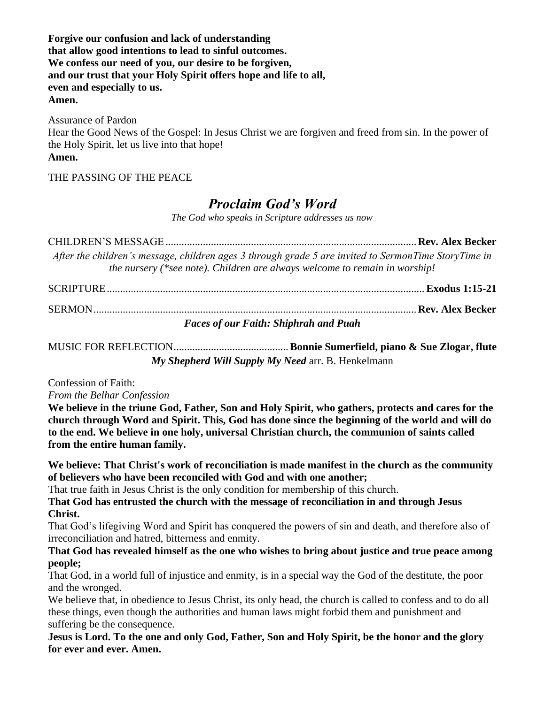**Forgive our confusion and lack of understanding that allow good intentions to lead to sinful outcomes. We confess our need of you, our desire to be forgiven, and our trust that your Holy Spirit offers hope and life to all, even and especially to us. Amen.**

Assurance of Pardon Hear the Good News of the Gospel: In Jesus Christ we are forgiven and freed from sin. In the power of the Holy Spirit, let us live into that hope! **Amen.**

THE PASSING OF THE PEACE

# *Proclaim God's Word*

*The God who speaks in Scripture addresses us now*

CHILDREN'S MESSAGE..............................................................................................**Rev. Alex Becker** *After the children's message, children ages 3 through grade 5 are invited to SermonTime StoryTime in the nursery (\*see note). Children are always welcome to remain in worship!* SCRIPTURE....................................................................................................................... **Exodus 1:15-21** SERMON.........................................................................................................................**Rev. Alex Becker** *Faces of our Faith: Shiphrah and Puah*

MUSIC FOR REFLECTION...........................................**Bonnie Sumerfield, piano & Sue Zlogar, flute** *My Shepherd Will Supply My Need* arr. B. Henkelmann

Confession of Faith:

*From the Belhar Confession*

**We believe in the triune God, Father, Son and Holy Spirit, who gathers, protects and cares for the church through Word and Spirit. This, God has done since the beginning of the world and will do to the end. We believe in one holy, universal Christian church, the communion of saints called from the entire human family.**

**We believe: That Christ's work of reconciliation is made manifest in the church as the community of believers who have been reconciled with God and with one another;** 

That true faith in Jesus Christ is the only condition for membership of this church.

**That God has entrusted the church with the message of reconciliation in and through Jesus Christ.**

That God's lifegiving Word and Spirit has conquered the powers of sin and death, and therefore also of irreconciliation and hatred, bitterness and enmity.

**That God has revealed himself as the one who wishes to bring about justice and true peace among people;** 

That God, in a world full of injustice and enmity, is in a special way the God of the destitute, the poor and the wronged.

We believe that, in obedience to Jesus Christ, its only head, the church is called to confess and to do all these things, even though the authorities and human laws might forbid them and punishment and suffering be the consequence.

**Jesus is Lord. To the one and only God, Father, Son and Holy Spirit, be the honor and the glory for ever and ever. Amen.**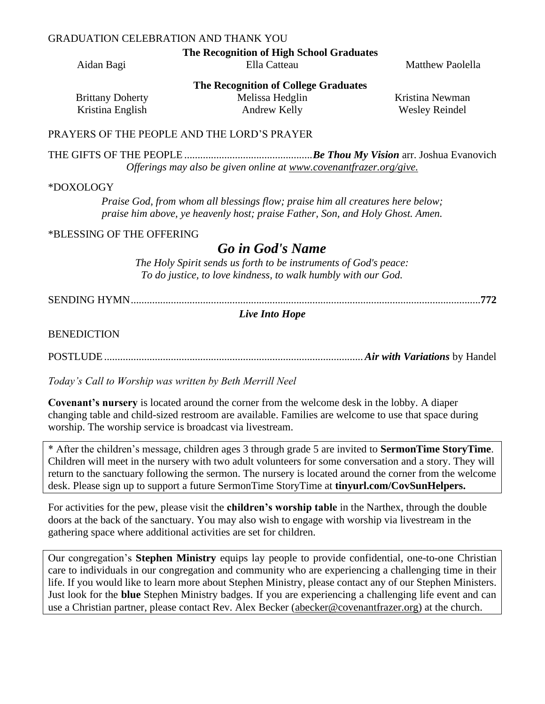### GRADUATION CELEBRATION AND THANK YOU

**The Recognition of High School Graduates**

Aidan Bagi **Ella Catteau** Ella Catteau **Matthew Paolella** 

**The Recognition of College Graduates**

Brittany Doherty Kristina English

Melissa Hedglin Andrew Kelly

Kristina Newman Wesley Reindel

#### PRAYERS OF THE PEOPLE AND THE LORD'S PRAYER

THE GIFTS OF THE PEOPLE................................................*Be Thou My Vision* arr. Joshua Evanovich *Offerings may also be given online at [www.covenantfrazer.org/give.](http://www.covenantfrazer.org/give)*

#### \*DOXOLOGY

*Praise God, from whom all blessings flow; praise him all creatures here below; praise him above, ye heavenly host; praise Father, Son, and Holy Ghost. Amen.*

#### \*BLESSING OF THE OFFERING

# *Go in God's Name*

*The Holy Spirit sends us forth to be instruments of God's peace: To do justice, to love kindness, to walk humbly with our God.*

SENDING HYMN...................................................................................................................................**772**

#### *Live Into Hope*

BENEDICTION

POSTLUDE.................................................................................................*Air with Variations* by Handel

*Today's Call to Worship was written by Beth Merrill Neel*

**Covenant's nursery** is located around the corner from the welcome desk in the lobby. A diaper changing table and child-sized restroom are available. Families are welcome to use that space during worship. The worship service is broadcast via livestream.

\* After the children's message, children ages 3 through grade 5 are invited to **SermonTime StoryTime**. Children will meet in the nursery with two adult volunteers for some conversation and a story. They will return to the sanctuary following the sermon. The nursery is located around the corner from the welcome desk. Please sign up to support a future SermonTime StoryTime at **tinyurl.com/CovSunHelpers.**

For activities for the pew, please visit the **children's worship table** in the Narthex, through the double doors at the back of the sanctuary. You may also wish to engage with worship via livestream in the gathering space where additional activities are set for children.

Our congregation's **Stephen Ministry** equips lay people to provide confidential, one-to-one Christian care to individuals in our congregation and community who are experiencing a challenging time in their life. If you would like to learn more about Stephen Ministry, please contact any of our Stephen Ministers. Just look for the **blue** Stephen Ministry badges. If you are experiencing a challenging life event and can use a Christian partner, please contact Rev. Alex Becker [\(abecker@covenantfrazer.org\)](mailto:abecker@covenantfrazer.org) at the church.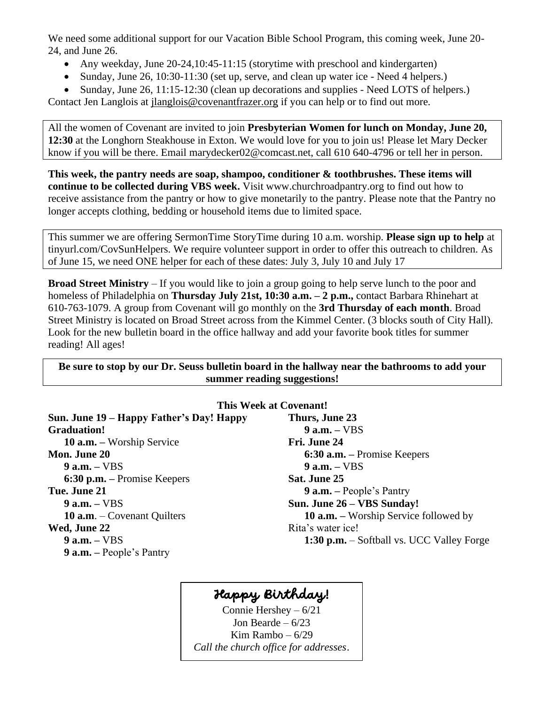We need some additional support for our Vacation Bible School Program, this coming week, June 20- 24, and June 26.

- Any weekday, June 20-24, 10:45-11:15 (storytime with preschool and kindergarten)
- Sunday, June 26, 10:30-11:30 (set up, serve, and clean up water ice Need 4 helpers.)
- Sunday, June 26, 11:15-12:30 (clean up decorations and supplies Need LOTS of helpers.)

Contact Jen Langlois at [jlanglois@covenantfrazer.org](mailto:jlanglois@covenantfrazer.org) if you can help or to find out more.

All the women of Covenant are invited to join **Presbyterian Women for lunch on Monday, June 20, 12:30** at the Longhorn Steakhouse in Exton. We would love for you to join us! Please let Mary Decker know if you will be there. Email [marydecker02@comcast.net, call 610 640-4796 or tell her in person.](mailto:marydecker02@comcast.net,%20call%20610%20640-4796%20or%20tell%20her%20in%20person.)

**This week, the pantry needs are soap, shampoo, conditioner & toothbrushes. These items will continue to be collected during VBS week.** Visit www.churchroadpantry.org to find out how to receive assistance from the pantry or how to give monetarily to the pantry. Please note that the Pantry no longer accepts clothing, bedding or household items due to limited space.

This summer we are offering SermonTime StoryTime during 10 a.m. worship. **Please sign up to help** at tinyurl.com/CovSunHelpers. We require volunteer support in order to offer this outreach to children. As of June 15, we need ONE helper for each of these dates: July 3, July 10 and July 17

**Broad Street Ministry** – If you would like to join a group going to help serve lunch to the poor and homeless of Philadelphia on **Thursday July 21st, 10:30 a.m. – 2 p.m.,** contact Barbara Rhinehart at 610-763-1079. A group from Covenant will go monthly on the **3rd Thursday of each month**. Broad Street Ministry is located on Broad Street across from the Kimmel Center. (3 blocks south of City Hall). Look for the new bulletin board in the office hallway and add your favorite book titles for summer reading! All ages!

**Be sure to stop by our Dr. Seuss bulletin board in the hallway near the bathrooms to add your summer reading suggestions!**

| This Week at Covenant!                   |                                              |  |  |
|------------------------------------------|----------------------------------------------|--|--|
| Sun. June 19 – Happy Father's Day! Happy | Thurs, June 23                               |  |  |
| <b>Graduation!</b>                       | $9$ a.m. $-$ VBS                             |  |  |
| <b>10 a.m.</b> – Worship Service         | Fri. June 24                                 |  |  |
| <b>Mon. June 20</b>                      | $6:30$ a.m. – Promise Keepers                |  |  |
| $9$ a.m. $-$ VBS                         | $9$ a.m. $-$ VBS                             |  |  |
| $6:30$ p.m. – Promise Keepers            | Sat. June 25                                 |  |  |
| Tue. June 21                             | $9$ a.m. – People's Pantry                   |  |  |
| $9$ a.m. $-$ VBS                         | Sun. June 26 – VBS Sunday!                   |  |  |
| <b>10 a.m.</b> $-$ Covenant Quilters     | <b>10 a.m.</b> – Worship Service followed by |  |  |
| Wed, June 22                             | Rita's water ice!                            |  |  |
| $9$ a.m. $-$ VBS                         | 1:30 p.m. – Softball vs. UCC Valley Forge    |  |  |
| $9$ a.m. $-$ People's Pantry             |                                              |  |  |

# Happy Birthday!

Connie Hershey – 6/21 Jon Bearde –  $6/23$ Kim Rambo – 6/29 *Call the church office for addresses.*